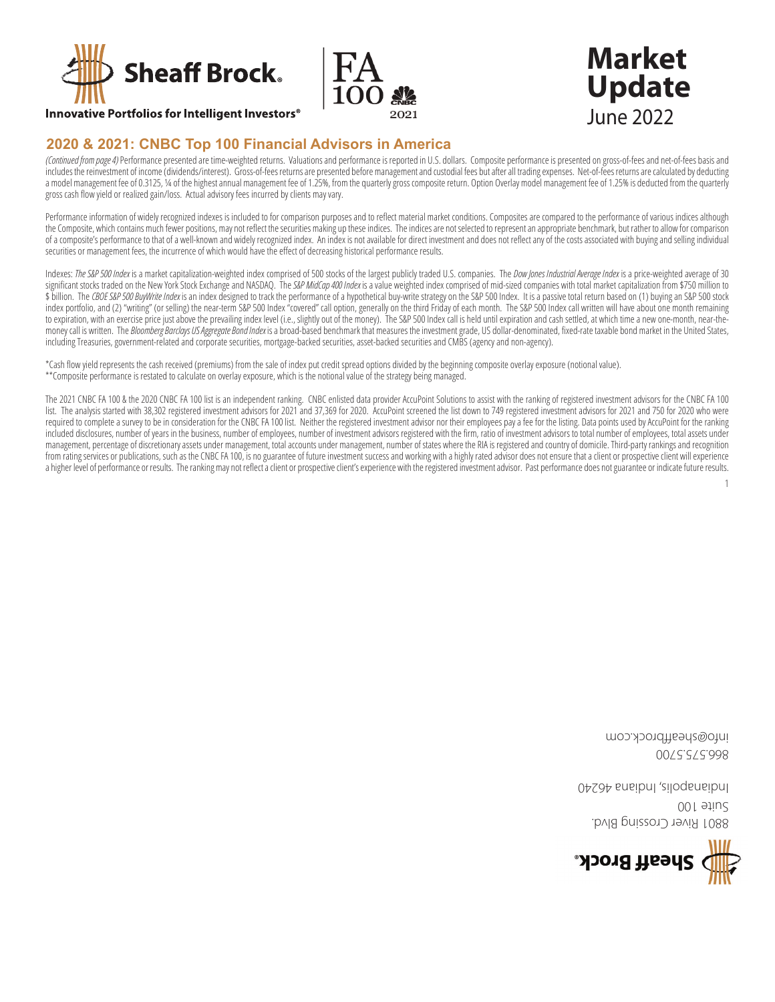



#### **Innovative Portfolios for Intelligent Investors<sup>®</sup>**

### 2020 & 2021: CNBC Top 100 Financial Advisors in America

(Continued from page 4) Performance presented are time-weighted returns. Valuations and performance is reported in U.S. dollars. Composite performance is presented on gross-of-fees and net-of-fees basis and includes the reinvestment of income (dividends/interest). Gross-of-fees returns are presented before management and custodial fees but after all trading expenses. Net-of-fees returns are calculated by deducting a model management fee of 0.3125, 14 of the highest annual management fee of 1.25%, from the quarterly gross composite return. Option Overlay model management fee of 1.25% is deducted from the quarterly gross cash flow yield or realized gain/loss. Actual advisory fees incurred by clients may vary.

Performance information of widely recognized indexes is included to for comparison purposes and to reflect material market conditions. Composites are compared to the performance of various indices although the Composite, which contains much fewer positions, may not reflect the securities making up these indices. The indices are not selected to represent an appropriate benchmark, but rather to allow for comparison of a composite's performance to that of a well-known and widely recognized index. An index is not available for direct investment and does not reflect any of the costs associated with buying and selling individual securities or management fees, the incurrence of which would have the effect of decreasing historical performance results.

Indexes: The S&P 500 Index is a market capitalization-weighted index comprised of 500 stocks of the largest publicly traded U.S. companies. The Dow Jones Industrial Average Index is a price-weighted average of 30 significant stocks traded on the New York Stock Exchange and NASDAQ. The S&P MidCap 400 Index is a value weighted index comprised of mid-sized companies with total market capitalization from \$750 million to \$ billion. The CBOE S&P 500 BuyWrite Index is an index designed to track the performance of a hypothetical buy-write strategy on the S&P 500 Index. It is a passive total return based on (1) buying an S&P 500 stock index portfolio, and (2) "writing" (or selling) the near-term S&P 500 Index "covered" call option, generally on the third Friday of each month. The S&P 500 Index call written will have about one month remaining to expiration, with an exercise price just above the prevailing index level (i.e., slightly out of the money). The S&P 500 Index call is held until expiration and cash settled, at which time a new one-month, near-themoney call is written. The Bloomberg Barclays US Aggregate Bond Index is a broad-based benchmark that measures the investment grade, US dollar-denominated, fixed-rate taxable bond market in the United States, including Treasuries, government-related and corporate securities, mortgage-backed securities, asset-backed securities and CMBS (agency and non-agency).

\*Cash flow yield represents the cash received (premiums) from the sale of index put credit spread options divided by the beginning composite overlay exposure (notional value). \*\* Composite performance is restated to calculate on overlay exposure, which is the notional value of the strategy being managed.

The 2021 CNBC FA 100 & the 2020 CNBC FA 100 list is an independent ranking. CNBC enlisted data provider AccuPoint Solutions to assist with the ranking of registered investment advisors for the CNBC FA 100 list. The analysis started with 38,302 registered investment advisors for 2021 and 37,369 for 2020. AccuPoint screened the list down to 749 registered investment advisors for 2021 and 750 for 2020 who were required to complete a survey to be in consideration for the CNBC FA 100 list. Neither the registered investment advisor nor their employees pay a fee for the listing. Data points used by AccuPoint for the ranking included disclosures, number of years in the business, number of employees, number of investment advisors registered with the firm, ratio of investment advisors to total number of employees, total assets under management, percentage of discretionary assets under management, total accounts under management, number of states where the RIA is registered and country of domicile. Third-party rankings and recognition from rating services or publications, such as the CNBC FA 100, is no guarantee of future investment success and working with a highly rated advisor does not ensure that a client or prospective client will experience a higher level of performance or results. The ranking may not reflect a client or prospective client's experience with the registered investment advisor. Past performance does not guarantee or indicate future results.

 $\mathbf{1}$ 



OO f stiu2 **B801 River Crossing Blvd.** 

moo.xbordffiseda@otni 00/55/5998

04294 snsibnl , ailogsnsibnl

**Market Update June 2022**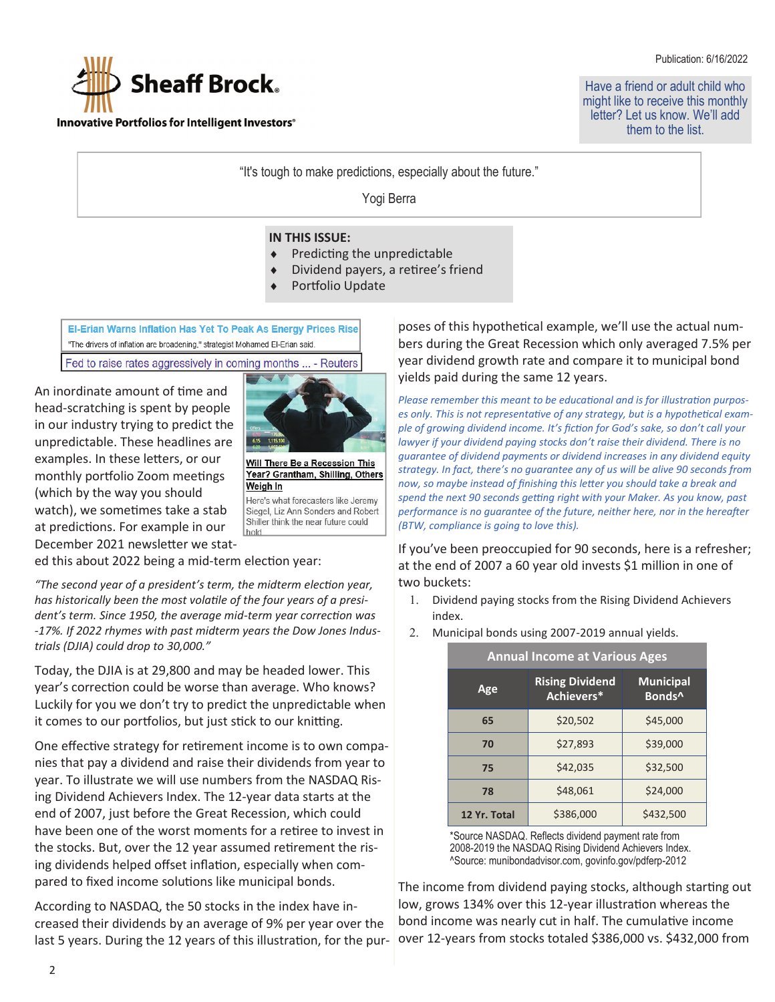Publication: 6/16/2022



Innovative Portfolios for Intelligent Investors<sup>®</sup>

Have a friend or adult child who might like to receive this monthly letter? Let us know. We'll add them to the list.

"It's tough to make predictions, especially about the future."

Yogi Berra

#### **IN THIS ISSUE:**

- Predicting the unpredictable
- Dividend payers, a retiree's friend
- Portfolio Update

El-Erian Warns Inflation Has Yet To Peak As Energy Prices Rise "The drivers of inflation are broadening," strategist Mohamed El-Erian said.

Fed to raise rates aggressively in coming months ... - Reuters

An inordinate amount of time and head-scratching is spent by people in our industry trying to predict the unpredictable. These headlines are examples. In these letters, or our monthly portfolio Zoom meetings (which by the way you should watch), we sometimes take a stab at predictions. For example in our December 2021 newsletter we stat-



Will There Be a Recession This Year? Grantham, Shilling, Others Weigh In

Here's what forecasters like Jeremy Siegel, Liz Ann Sonders and Robert Shiller think the near future could hold

ed this about 2022 being a mid-term election year:

*"The second year of a president's term, the midterm elecƟon year,*  has historically been the most volatile of the four years of a presi*dent's term. Since 1950, the average mid-term year correction was -17%. If 2022 rhymes with past midterm years the Dow Jones Industrials (DJIA) could drop to 30,000."*

Today, the DJIA is at 29,800 and may be headed lower. This year's correction could be worse than average. Who knows? Luckily for you we don't try to predict the unpredictable when it comes to our portfolios, but just stick to our knitting.

One effective strategy for retirement income is to own companies that pay a dividend and raise their dividends from year to year. To illustrate we will use numbers from the NASDAQ Rising Dividend Achievers Index. The 12-year data starts at the end of 2007, just before the Great Recession, which could have been one of the worst moments for a retiree to invest in the stocks. But, over the 12 year assumed retirement the rising dividends helped offset inflation, especially when compared to fixed income solutions like municipal bonds.

According to NASDAQ, the 50 stocks in the index have increased their dividends by an average of 9% per year over the last 5 years. During the 12 years of this illustration, for the pur-

poses of this hypotheƟcal example, we'll use the actual numbers during the Great Recession which only averaged 7.5% per year dividend growth rate and compare it to municipal bond yields paid during the same 12 years.

*Please remember this meant to be educational and is for illustration purposes only. This is not representative of any strategy, but is a hypothetical example of growing dividend income. It's ficƟon for God's sake, so don't call your lawyer if your dividend paying stocks don't raise their dividend. There is no guarantee of dividend payments or dividend increases in any dividend equity strategy. In fact, there's no guarantee any of us will be alive 90 seconds from now, so maybe instead of finishing this letter you should take a break and spend the next 90 seconds geƫng right with your Maker. As you know, past performance is no guarantee of the future, neither here, nor in the hereafter (BTW, compliance is going to love this).*

If you've been preoccupied for 90 seconds, here is a refresher; at the end of 2007 a 60 year old invests \$1 million in one of two buckets:

- 1. Dividend paying stocks from the Rising Dividend Achievers index.
- Municipal bonds using 2007-2019 annual yields.

| <b>Annual Income at Various Ages</b> |                                      |                                        |  |  |
|--------------------------------------|--------------------------------------|----------------------------------------|--|--|
| Age                                  | <b>Rising Dividend</b><br>Achievers* | <b>Municipal</b><br>Bonds <sup>^</sup> |  |  |
| 65                                   | \$20,502                             | \$45,000                               |  |  |
| 70                                   | \$27,893                             | \$39,000                               |  |  |
| 75                                   | \$42,035                             | \$32,500                               |  |  |
| 78                                   | \$48,061                             | \$24,000                               |  |  |
| 12 Yr. Total                         | \$386,000                            | \$432,500                              |  |  |

\*Source NASDAQ. Reflects dividend payment rate from 2008-2019 the NASDAQ Rising Dividend Achievers Index. ^Source: munibondadvisor.com, govinfo.gov/pdferp-2012

The income from dividend paying stocks, although starting out low, grows 134% over this 12-year illustration whereas the bond income was nearly cut in half. The cumulative income over 12-years from stocks totaled \$386,000 vs. \$432,000 from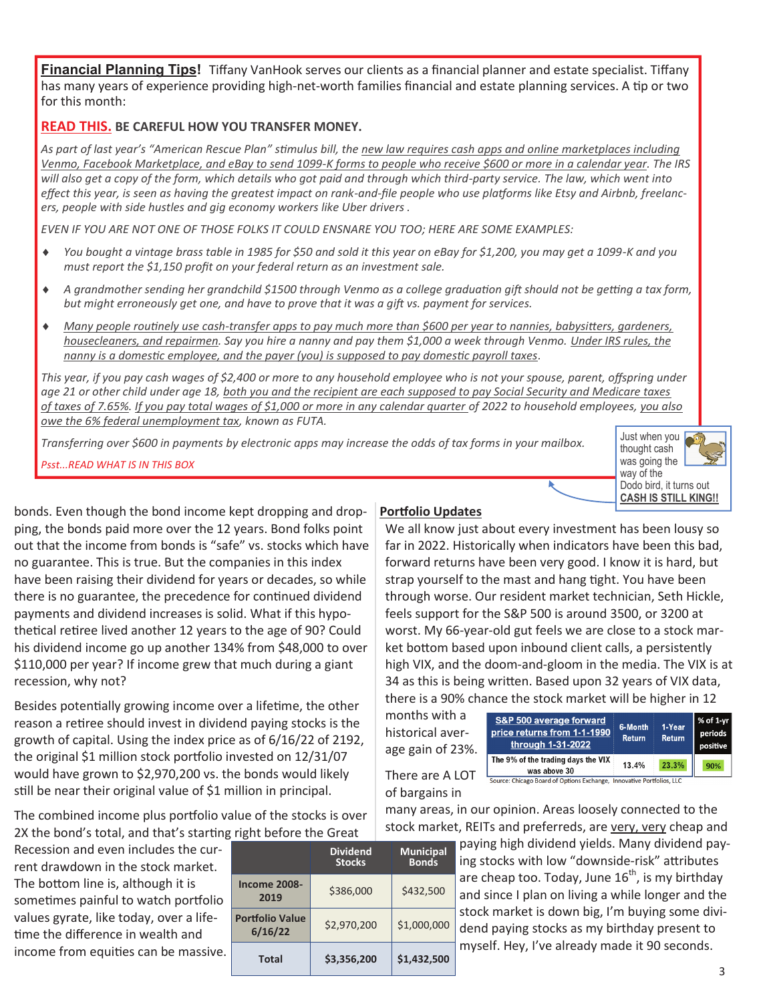**Financial Planning Tips!** Tiffany VanHook serves our clients as a financial planner and estate specialist. Tiffany has many years of experience providing high-net-worth families financial and estate planning services. A tip or two for this month:

## **READ THIS. BE CAREFUL HOW YOU TRANSFER MONEY.**

*As part of last year's "American Rescue Plan" sƟmulus bill, the new law requires cash apps and online marketplaces including Venmo, Facebook Marketplace, and eBay to send 1099-K forms to people who receive \$600 or more in a calendar year. The IRS will also get a copy of the form, which details who got paid and through which third-party service. The law, which went into effect this year, is seen as having the greatest impact on rank-and-file people who use plaƞorms like Etsy and Airbnb, freelancers, people with side hustles and gig economy workers like Uber drivers .*

*EVEN IF YOU ARE NOT ONE OF THOSE FOLKS IT COULD ENSNARE YOU TOO; HERE ARE SOME EXAMPLES:* 

- i *You bought a vintage brass table in 1985 for \$50 and sold it this year on eBay for \$1,200, you may get a 1099-K and you must report the \$1,150 profit on your federal return as an investment sale.*
- $\bullet$  *A grandmother sending her grandchild \$1500 through Venmo as a college graduation gift should not be getting a tax form, but might erroneously get one, and have to prove that it was a gift vs. payment for services.*
- i *Many people rouƟnely use cash-transfer apps to pay much more than \$600 per year to nannies, babysiƩers, gardeners, housecleaners, and repairmen. Say you hire a nanny and pay them \$1,000 a week through Venmo. Under IRS rules, the nanny is a domestic employee, and the payer (you) is supposed to pay domestic payroll taxes.*

*This year, if you pay cash wages of \$2,400 or more to any household employee who is not your spouse, parent, offspring under age 21 or other child under age 18, both you and the recipient are each supposed to pay Social Security and Medicare taxes of taxes of 7.65%. If you pay total wages of \$1,000 or more in any calendar quarter of 2022 to household employees, you also owe the 6% federal unemployment tax, known as FUTA.*

*Transferring over \$600 in payments by electronic apps may increase the odds of tax forms in your mailbox.* 

*Psst...READ WHAT IS IN THIS BOX*



bonds. Even though the bond income kept dropping and dropping, the bonds paid more over the 12 years. Bond folks point out that the income from bonds is "safe" vs. stocks which have no guarantee. This is true. But the companies in this index have been raising their dividend for years or decades, so while there is no guarantee, the precedence for continued dividend payments and dividend increases is solid. What if this hypothetical retiree lived another 12 years to the age of 90? Could his dividend income go up another 134% from \$48,000 to over \$110,000 per year? If income grew that much during a giant recession, why not?

Besides potentially growing income over a lifetime, the other reason a retiree should invest in dividend paying stocks is the growth of capital. Using the index price as of 6/16/22 of 2192, the original \$1 million stock portfolio invested on 12/31/07 would have grown to \$2,970,200 vs. the bonds would likely still be near their original value of \$1 million in principal.

The combined income plus portfolio value of the stocks is over 2X the bond's total, and that's starting right before the Great

Recession and even includes the current drawdown in the stock market. The bottom line is, although it is sometimes painful to watch portfolio values gyrate, like today, over a lifetime the difference in wealth and income from equities can be massive.

| is in belone the order            |                                  |                                  |  |  |
|-----------------------------------|----------------------------------|----------------------------------|--|--|
|                                   | <b>Dividend</b><br><b>Stocks</b> | <b>Municipal</b><br><b>Bonds</b> |  |  |
| <b>Income 2008-</b><br>2019       | \$386,000                        | \$432,500                        |  |  |
| <b>Portfolio Value</b><br>6/16/22 | \$2,970,200                      | \$1,000,000                      |  |  |
| <b>Total</b>                      | \$3,356,200                      | \$1,432,500                      |  |  |

## **Porƞolio Updates**

We all know just about every investment has been lousy so far in 2022. Historically when indicators have been this bad, forward returns have been very good. I know it is hard, but strap yourself to the mast and hang tight. You have been through worse. Our resident market technician, Seth Hickle, feels support for the S&P 500 is around 3500, or 3200 at worst. My 66-year-old gut feels we are close to a stock market bottom based upon inbound client calls, a persistently high VIX, and the doom-and-gloom in the media. The VIX is at 34 as this is being written. Based upon 32 years of VIX data, there is a 90% chance the stock market will be higher in 12

months with a historical average gain of 23%.

| S&P 500 average forward<br>price returns from 1-1-1990<br>through 1-31-2022 | 6-Month<br><b>Return</b> | 1-Year<br><b>Return</b> | $\vert$ % of 1-yr $\vert$<br>periods<br>positive |  |
|-----------------------------------------------------------------------------|--------------------------|-------------------------|--------------------------------------------------|--|
| The 9% of the trading days the VIX<br>was above 30                          | 13.4%                    | 23.3%                   | 90%                                              |  |
| Source: Chicago Board of Options Exchange Innovative Portfolios IIC         |                          |                         |                                                  |  |

There are A LOT of bargains in

many areas, in our opinion. Areas loosely connected to the stock market, REITs and preferreds, are very, very cheap and

> paying high dividend yields. Many dividend paying stocks with low "downside-risk" attributes are cheap too. Today, June  $16^{th}$ , is my birthday and since I plan on living a while longer and the stock market is down big, I'm buying some dividend paying stocks as my birthday present to myself. Hey, I've already made it 90 seconds.